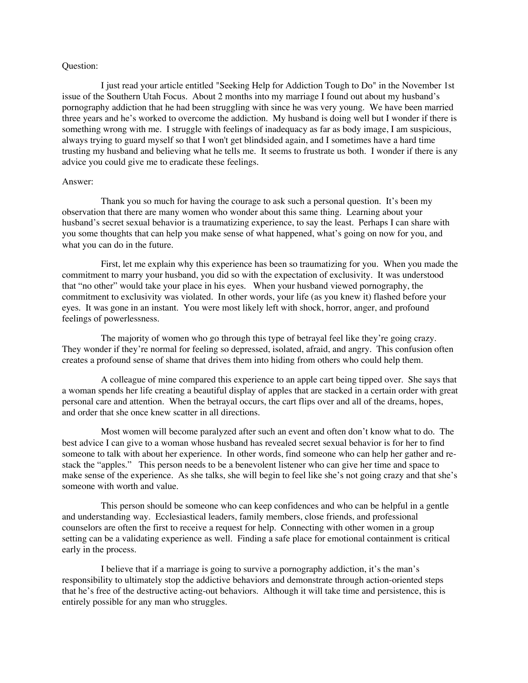## Question:

I just read your article entitled "Seeking Help for Addiction Tough to Do" in the November 1st issue of the Southern Utah Focus. About 2 months into my marriage I found out about my husband's pornography addiction that he had been struggling with since he was very young. We have been married three years and he's worked to overcome the addiction. My husband is doing well but I wonder if there is something wrong with me. I struggle with feelings of inadequacy as far as body image, I am suspicious, always trying to guard myself so that I won't get blindsided again, and I sometimes have a hard time trusting my husband and believing what he tells me. It seems to frustrate us both. I wonder if there is any advice you could give me to eradicate these feelings.

## Answer:

Thank you so much for having the courage to ask such a personal question. It's been my observation that there are many women who wonder about this same thing. Learning about your husband's secret sexual behavior is a traumatizing experience, to say the least. Perhaps I can share with you some thoughts that can help you make sense of what happened, what's going on now for you, and what you can do in the future.

First, let me explain why this experience has been so traumatizing for you. When you made the commitment to marry your husband, you did so with the expectation of exclusivity. It was understood that "no other" would take your place in his eyes. When your husband viewed pornography, the commitment to exclusivity was violated. In other words, your life (as you knew it) flashed before your eyes. It was gone in an instant. You were most likely left with shock, horror, anger, and profound feelings of powerlessness.

The majority of women who go through this type of betrayal feel like they're going crazy. They wonder if they're normal for feeling so depressed, isolated, afraid, and angry. This confusion often creates a profound sense of shame that drives them into hiding from others who could help them.

A colleague of mine compared this experience to an apple cart being tipped over. She says that a woman spends her life creating a beautiful display of apples that are stacked in a certain order with great personal care and attention. When the betrayal occurs, the cart flips over and all of the dreams, hopes, and order that she once knew scatter in all directions.

Most women will become paralyzed after such an event and often don't know what to do. The best advice I can give to a woman whose husband has revealed secret sexual behavior is for her to find someone to talk with about her experience. In other words, find someone who can help her gather and restack the "apples." This person needs to be a benevolent listener who can give her time and space to make sense of the experience. As she talks, she will begin to feel like she's not going crazy and that she's someone with worth and value.

This person should be someone who can keep confidences and who can be helpful in a gentle and understanding way. Ecclesiastical leaders, family members, close friends, and professional counselors are often the first to receive a request for help. Connecting with other women in a group setting can be a validating experience as well. Finding a safe place for emotional containment is critical early in the process.

I believe that if a marriage is going to survive a pornography addiction, it's the man's responsibility to ultimately stop the addictive behaviors and demonstrate through action-oriented steps that he's free of the destructive acting-out behaviors. Although it will take time and persistence, this is entirely possible for any man who struggles.